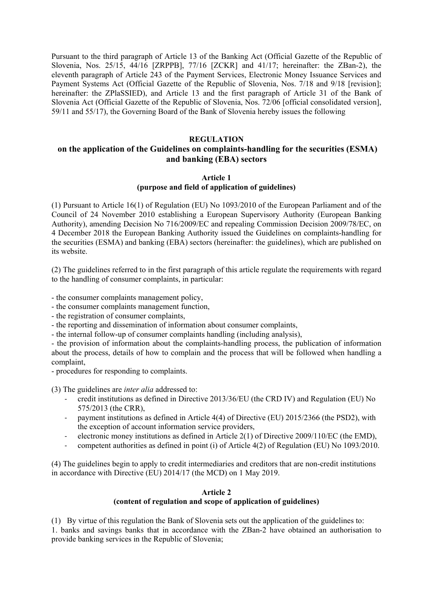Pursuant to the third paragraph of Article 13 of the Banking Act (Official Gazette of the Republic of Slovenia, Nos. 25/15, 44/16 [ZRPPB], 77/16 [ZCKR] and 41/17; hereinafter: the ZBan-2), the eleventh paragraph of Article 243 of the Payment Services, Electronic Money Issuance Services and Payment Systems Act (Official Gazette of the Republic of Slovenia, Nos. 7/18 and 9/18 [revision]; hereinafter: the ZPlaSSIED), and Article 13 and the first paragraph of Article 31 of the Bank of Slovenia Act (Official Gazette of the Republic of Slovenia, Nos. 72/06 [official consolidated version], 59/11 and 55/17), the Governing Board of the Bank of Slovenia hereby issues the following

### **REGULATION**

## **on the application of the Guidelines on complaints-handling for the securities (ESMA) and banking (EBA) sectors**

### **Article 1 (purpose and field of application of guidelines)**

(1) Pursuant to Article 16(1) of Regulation (EU) No 1093/2010 of the European Parliament and of the Council of 24 November 2010 establishing a European Supervisory Authority (European Banking Authority), amending Decision No 716/2009/EC and repealing Commission Decision 2009/78/EC, on 4 December 2018 the European Banking Authority issued the Guidelines on complaints-handling for the securities (ESMA) and banking (EBA) sectors (hereinafter: the guidelines), which are published on its website.

(2) The guidelines referred to in the first paragraph of this article regulate the requirements with regard to the handling of consumer complaints, in particular:

- the consumer complaints management policy,

- the consumer complaints management function,

- the registration of consumer complaints,

- the reporting and dissemination of information about consumer complaints,

- the internal follow-up of consumer complaints handling (including analysis),

- the provision of information about the complaints-handling process, the publication of information about the process, details of how to complain and the process that will be followed when handling a complaint,

- procedures for responding to complaints.

(3) The guidelines are *inter alia* addressed to:

- credit institutions as defined in Directive 2013/36/EU (the CRD IV) and Regulation (EU) No 575/2013 (the CRR),
- payment institutions as defined in Article 4(4) of Directive (EU) 2015/2366 (the PSD2), with the exception of account information service providers,
- electronic money institutions as defined in Article 2(1) of Directive 2009/110/EC (the EMD),
- competent authorities as defined in point (i) of Article 4(2) of Regulation (EU) No 1093/2010.

(4) The guidelines begin to apply to credit intermediaries and creditors that are non-credit institutions in accordance with Directive (EU) 2014/17 (the MCD) on 1 May 2019.

# **Article 2**

## **(content of regulation and scope of application of guidelines)**

(1) By virtue of this regulation the Bank of Slovenia sets out the application of the guidelines to: 1. banks and savings banks that in accordance with the ZBan-2 have obtained an authorisation to provide banking services in the Republic of Slovenia;